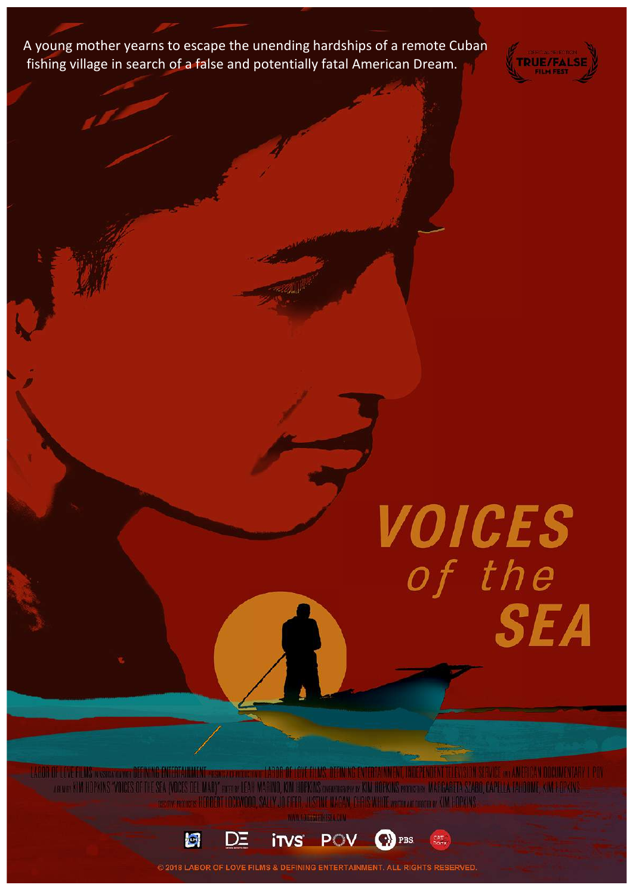A young mother yearns to escape the unending hardships of a remote Cuban fishing village in search of a false and potentially fatal American Dream.



VOICES<br>of the **SEA** 

**ELEVISION SERVICE XXII AMERICAN DOCUMENTARY I POV** ATLIF OF LOVE FLANS WASHING WAR UTT no or KIM HOPKINS "VOICES OF THE SEA (VOCES DEL MAR)" non or LEAH MARINO, KIM HOPKINS onormany or KIM HOPKINS proven or MARGARETA SZARO, CAPELLA TAHOOME, KIM HOPKIN NAGAN, CHRIS WHITE watto and descrew KIM HOPKIN



**2018 LABOR OF LOVE FILMS & DEFINING ENTERTAINMENT. ALL RIGHTS RESERVED.**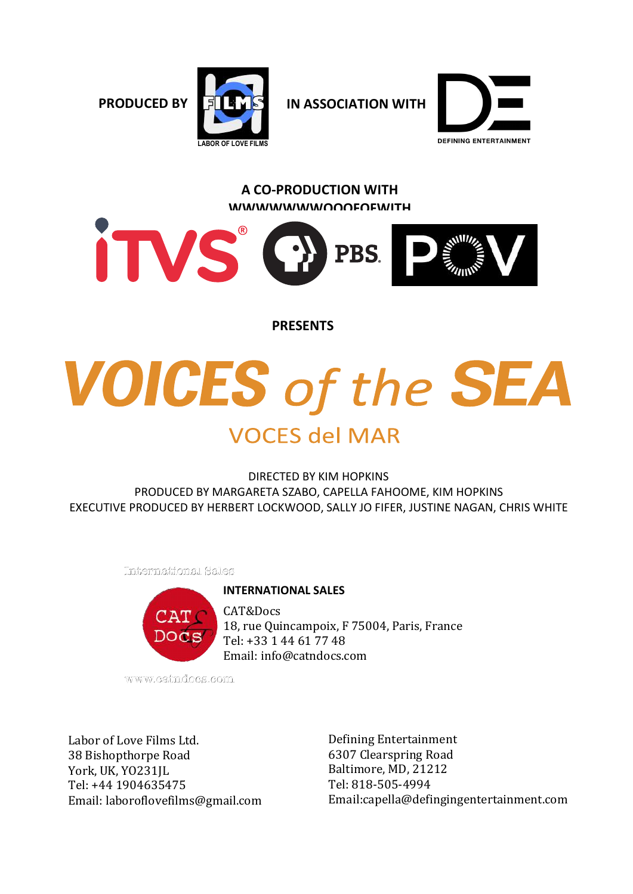**PRODUCED BY IN ASSOCIATION WITH**



**DEFINING ENTERTAINMENT** 

#### **A CO-PRODUCTION WITH WWWWWWWOOOFOFWITH**



**PRESENTS**

# **VOICES of the SEA**

## **VOCES del MAR**

DIRECTED BY KIM HOPKINS PRODUCED BY MARGARETA SZABO, CAPELLA FAHOOME, KIM HOPKINS EXECUTIVE PRODUCED BY HERBERT LOCKWOOD, SALLY JO FIFER, JUSTINE NAGAN, CHRIS WHITE

International Sales

#### **INTERNATIONAL SALES**



CAT&Docs 18, rue Quincampoix, F 75004, Paris, France Tel: +33 1 44 61 77 48 Email: info@catndocs.com

www.catndocs.com

Labor of Love Films Ltd. 38 Bishopthorpe Road York, UK, YO231JL Tel: +44 1904635475 Email: laboroflovefilms@gmail.com

Defining Entertainment 6307 Clearspring Road Baltimore, MD, 21212 Tel: 818-505-4994 Email:capella@defingingentertainment.com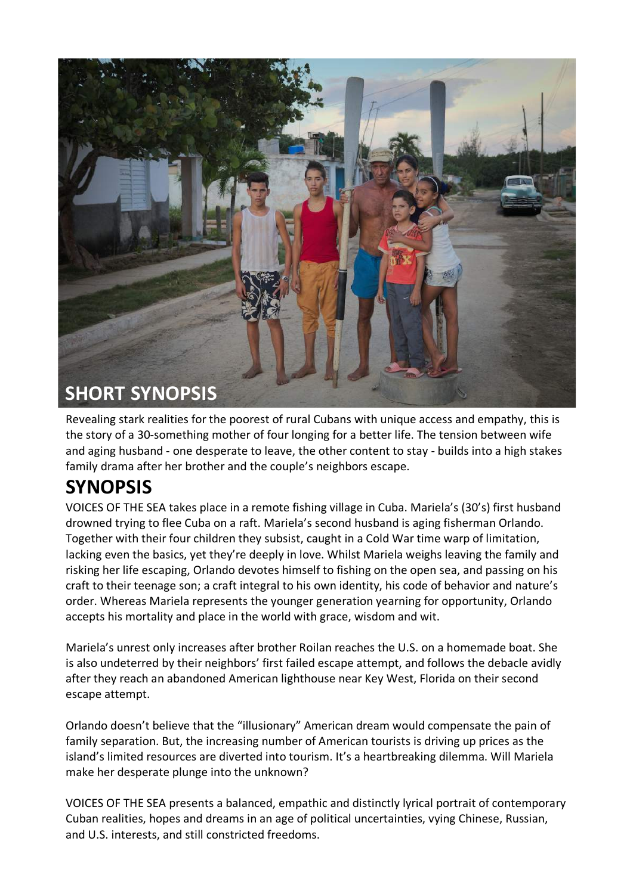

Revealing stark realities for the poorest of rural Cubans with unique access and empathy, this is the story of a 30-something mother of four longing for a better life. The tension between wife and aging husband - one desperate to leave, the other content to stay - builds into a high stakes family drama after her brother and the couple's neighbors escape.

### **SYNOPSIS**

VOICES OF THE SEA takes place in a remote fishing village in Cuba. Mariela's (30's) first husband drowned trying to flee Cuba on a raft. Mariela's second husband is aging fisherman Orlando. Together with their four children they subsist, caught in a Cold War time warp of limitation, lacking even the basics, yet they're deeply in love. Whilst Mariela weighs leaving the family and risking her life escaping, Orlando devotes himself to fishing on the open sea, and passing on his craft to their teenage son; a craft integral to his own identity, his code of behavior and nature's order. Whereas Mariela represents the younger generation yearning for opportunity, Orlando accepts his mortality and place in the world with grace, wisdom and wit.

Mariela's unrest only increases after brother Roilan reaches the U.S. on a homemade boat. She is also undeterred by their neighbors' first failed escape attempt, and follows the debacle avidly after they reach an abandoned American lighthouse near Key West, Florida on their second escape attempt.

Orlando doesn't believe that the "illusionary" American dream would compensate the pain of family separation. But, the increasing number of American tourists is driving up prices as the island's limited resources are diverted into tourism. It's a heartbreaking dilemma. Will Mariela make her desperate plunge into the unknown?

VOICES OF THE SEA presents a balanced, empathic and distinctly lyrical portrait of contemporary Cuban realities, hopes and dreams in an age of political uncertainties, vying Chinese, Russian, and U.S. interests, and still constricted freedoms.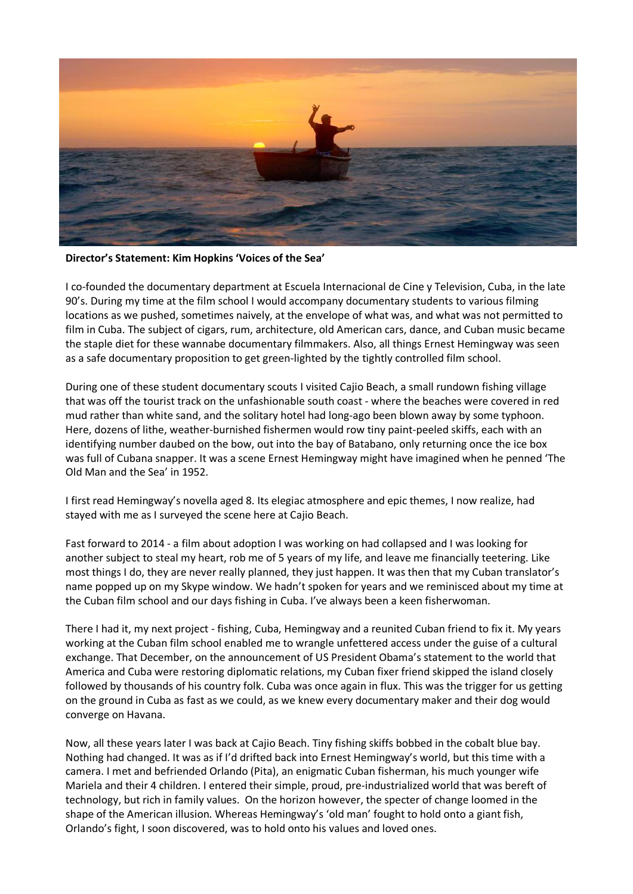

**Director's Statement: Kim Hopkins 'Voices of the Sea'** 

I co-founded the documentary department at Escuela Internacional de Cine y Television, Cuba, in the late 90's. During my time at the film school I would accompany documentary students to various filming locations as we pushed, sometimes naively, at the envelope of what was, and what was not permitted to film in Cuba. The subject of cigars, rum, architecture, old American cars, dance, and Cuban music became the staple diet for these wannabe documentary filmmakers. Also, all things Ernest Hemingway was seen as a safe documentary proposition to get green-lighted by the tightly controlled film school.

During one of these student documentary scouts I visited Cajio Beach, a small rundown fishing village that was off the tourist track on the unfashionable south coast - where the beaches were covered in red mud rather than white sand, and the solitary hotel had long-ago been blown away by some typhoon. Here, dozens of lithe, weather-burnished fishermen would row tiny paint-peeled skiffs, each with an identifying number daubed on the bow, out into the bay of Batabano, only returning once the ice box was full of Cubana snapper. It was a scene Ernest Hemingway might have imagined when he penned 'The Old Man and the Sea' in 1952.

I first read Hemingway's novella aged 8. Its elegiac atmosphere and epic themes, I now realize, had stayed with me as I surveyed the scene here at Cajio Beach.

Fast forward to 2014 - a film about adoption I was working on had collapsed and I was looking for another subject to steal my heart, rob me of 5 years of my life, and leave me financially teetering. Like most things I do, they are never really planned, they just happen. It was then that my Cuban translator's name popped up on my Skype window. We hadn't spoken for years and we reminisced about my time at the Cuban film school and our days fishing in Cuba. I've always been a keen fisherwoman.

There I had it, my next project - fishing, Cuba, Hemingway and a reunited Cuban friend to fix it. My years working at the Cuban film school enabled me to wrangle unfettered access under the guise of a cultural exchange. That December, on the announcement of US President Obama's statement to the world that America and Cuba were restoring diplomatic relations, my Cuban fixer friend skipped the island closely followed by thousands of his country folk. Cuba was once again in flux. This was the trigger for us getting on the ground in Cuba as fast as we could, as we knew every documentary maker and their dog would converge on Havana.

Now, all these years later I was back at Cajio Beach. Tiny fishing skiffs bobbed in the cobalt blue bay. Nothing had changed. It was as if I'd drifted back into Ernest Hemingway's world, but this time with a camera. I met and befriended Orlando (Pita), an enigmatic Cuban fisherman, his much younger wife Mariela and their 4 children. I entered their simple, proud, pre-industrialized world that was bereft of technology, but rich in family values. On the horizon however, the specter of change loomed in the shape of the American illusion. Whereas Hemingway's 'old man' fought to hold onto a giant fish, Orlando's fight, I soon discovered, was to hold onto his values and loved ones.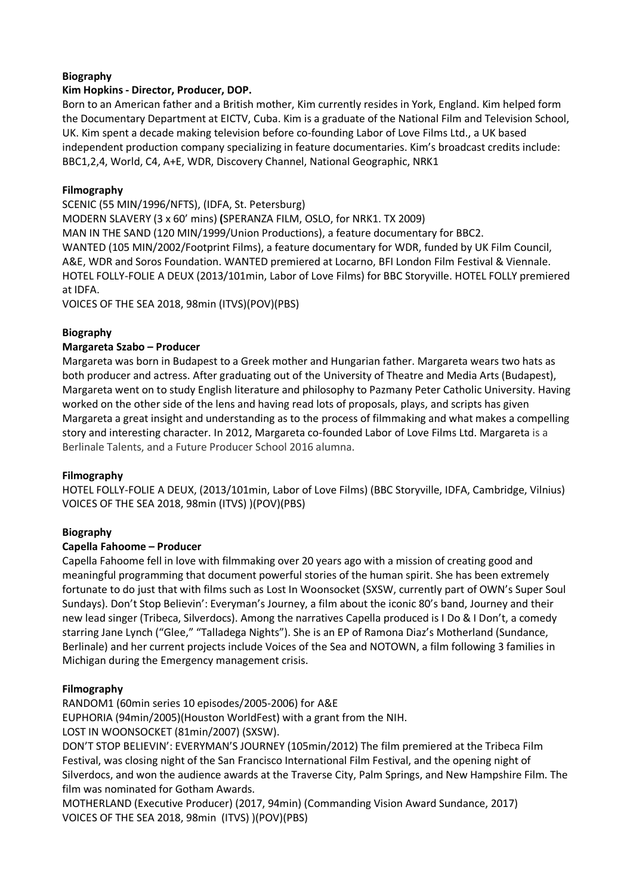#### **Biography**

#### **Kim Hopkins - Director, Producer, DOP.**

Born to an American father and a British mother, Kim currently resides in York, England. Kim helped form the Documentary Department at EICTV, Cuba. Kim is a graduate of the National Film and Television School, UK. Kim spent a decade making television before co-founding Labor of Love Films Ltd., a UK based independent production company specializing in feature documentaries. Kim's broadcast credits include: BBC1,2,4, World, C4, A+E, WDR, Discovery Channel, National Geographic, NRK1

#### **Filmography**

SCENIC (55 MIN/1996/NFTS), (IDFA, St. Petersburg)

MODERN SLAVERY (3 x 60' mins) **(**SPERANZA FILM, OSLO, for NRK1. TX 2009) MAN IN THE SAND (120 MIN/1999/Union Productions), a feature documentary for BBC2. WANTED (105 MIN/2002/Footprint Films), a feature documentary for WDR, funded by UK Film Council, A&E, WDR and Soros Foundation. WANTED premiered at Locarno, BFI London Film Festival & Viennale. HOTEL FOLLY-FOLIE A DEUX (2013/101min, Labor of Love Films) for BBC Storyville. HOTEL FOLLY premiered at IDFA.

VOICES OF THE SEA 2018, 98min (ITVS)(POV)(PBS)

#### **Biography**

#### **Margareta Szabo – Producer**

Margareta was born in Budapest to a Greek mother and Hungarian father. Margareta wears two hats as both producer and actress. After graduating out of the University of Theatre and Media Arts (Budapest), Margareta went on to study English literature and philosophy to Pazmany Peter Catholic University. Having worked on the other side of the lens and having read lots of proposals, plays, and scripts has given Margareta a great insight and understanding as to the process of filmmaking and what makes a compelling story and interesting character. In 2012, Margareta co-founded Labor of Love Films Ltd. Margareta is a Berlinale Talents, and a Future Producer School 2016 alumna.

#### **Filmography**

HOTEL FOLLY-FOLIE A DEUX, (2013/101min, Labor of Love Films) (BBC Storyville, IDFA, Cambridge, Vilnius) VOICES OF THE SEA 2018, 98min (ITVS) )(POV)(PBS)

#### **Biography**

#### **Capella Fahoome – Producer**

Capella Fahoome fell in love with filmmaking over 20 years ago with a mission of creating good and meaningful programming that document powerful stories of the human spirit. She has been extremely fortunate to do just that with films such as Lost In Woonsocket (SXSW, currently part of OWN's Super Soul Sundays). Don't Stop Believin': Everyman's Journey, a film about the iconic 80's band, Journey and their new lead singer (Tribeca, Silverdocs). Among the narratives Capella produced is I Do & I Don't, a comedy starring Jane Lynch ("Glee," "Talladega Nights"). She is an EP of Ramona Diaz's Motherland (Sundance, Berlinale) and her current projects include Voices of the Sea and NOTOWN, a film following 3 families in Michigan during the Emergency management crisis.

#### **Filmography**

RANDOM1 (60min series 10 episodes/2005-2006) for A&E

EUPHORIA (94min/2005)(Houston WorldFest) with a grant from the NIH.

LOST IN WOONSOCKET (81min/2007) (SXSW).

DON'T STOP BELIEVIN': EVERYMAN'S JOURNEY (105min/2012) The film premiered at the Tribeca Film Festival, was closing night of the San Francisco International Film Festival, and the opening night of Silverdocs, and won the audience awards at the Traverse City, Palm Springs, and New Hampshire Film. The film was nominated for Gotham Awards.

MOTHERLAND (Executive Producer) (2017, 94min) (Commanding Vision Award Sundance, 2017) VOICES OF THE SEA 2018, 98min (ITVS) )(POV)(PBS)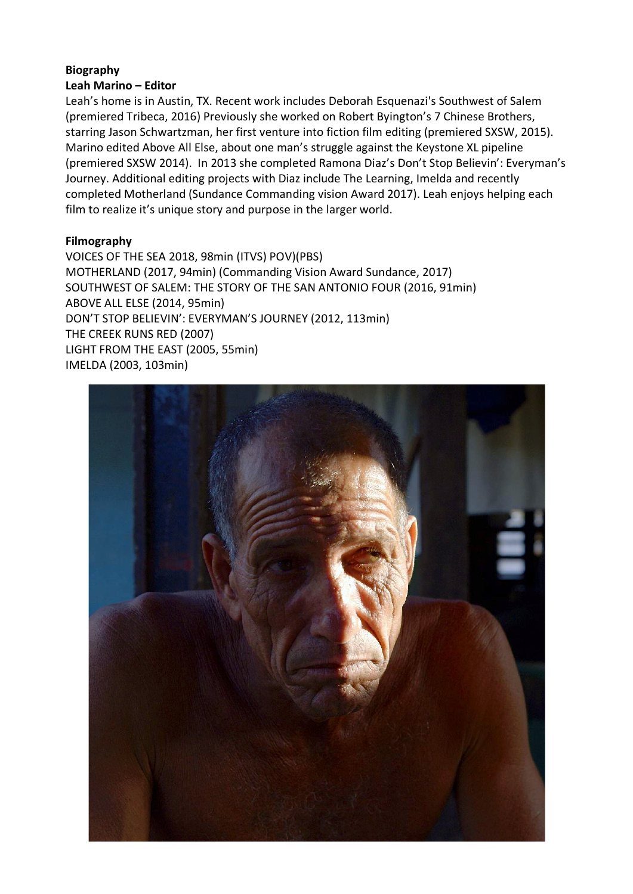#### **Biography Leah Marino – Editor**

Leah's home is in Austin, TX. Recent work includes Deborah Esquenazi's Southwest of Salem (premiered Tribeca, 2016) Previously she worked on Robert Byington's 7 Chinese Brothers, starring Jason Schwartzman, her first venture into fiction film editing (premiered SXSW, 2015). Marino edited Above All Else, about one man's struggle against the Keystone XL pipeline (premiered SXSW 2014). In 2013 she completed Ramona Diaz's Don't Stop Believin': Everyman's Journey. Additional editing projects with Diaz include The Learning, Imelda and recently completed Motherland (Sundance Commanding vision Award 2017). Leah enjoys helping each film to realize it's unique story and purpose in the larger world.

#### **Filmography**

VOICES OF THE SEA 2018, 98min (ITVS) POV)(PBS) MOTHERLAND (2017, 94min) (Commanding Vision Award Sundance, 2017) SOUTHWEST OF SALEM: THE STORY OF THE SAN ANTONIO FOUR (2016, 91min) ABOVE ALL ELSE (2014, 95min) DON'T STOP BELIEVIN': EVERYMAN'S JOURNEY (2012, 113min) THE CREEK RUNS RED (2007) LIGHT FROM THE EAST (2005, 55min) IMELDA (2003, 103min)

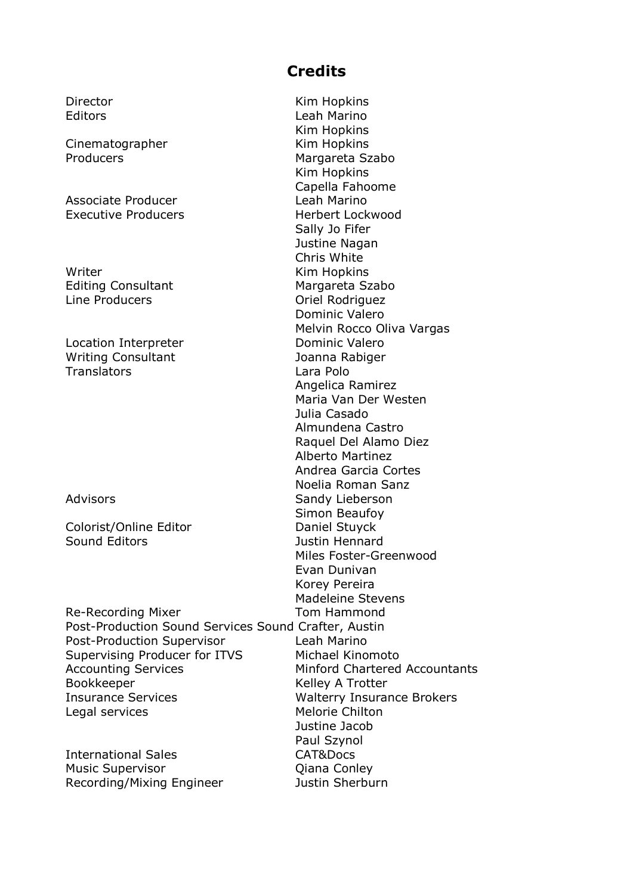#### **Credits**

Director **Kim Hopkins** Editors **Leah Marino** Kim Hopkins Cinematographer Kim Hopkins Producers Margareta Szabo Kim Hopkins Capella Fahoome Associate Producer **Leah Marino** Executive Producers **Executive Producers Herbert Lockwood** Sally Jo Fifer Justine Nagan Chris White Writer **Kim Hopkins** Editing Consultant Margareta Szabo Line Producers **Calculation Community** Oriel Rodriguez Dominic Valero Melvin Rocco Oliva Vargas Location Interpreter **Dominic Valero** Writing Consultant **Internal Stuart Consultant** Joanna Rabiger Angelica Ramirez Maria Van Der Westen Julia Casado Almundena Castro Raquel Del Alamo Diez Alberto Martinez Andrea Garcia Cortes Noelia Roman Sanz Advisors **Sandy Lieberson** Simon Beaufoy Colorist/Online Editor **Daniel Stuyck** Sound Editors **Contact Sound Editors Justin Hennard** Miles Foster-Greenwood Evan Dunivan Korey Pereira Madeleine Stevens Justine Jacob Paul Szynol

Translators Lara Polo

Re-Recording Mixer Tom Hammond Post-Production Sound Services Sound Crafter, Austin Post-Production Supervisor Leah Marino Supervising Producer for ITVS Michael Kinomoto Accounting Services Minford Chartered Accountants Bookkeeper **Kelley A Trotter** Insurance Services Walterry Insurance Brokers Legal services **Melorie Chilton** 

International Sales CAT&Docs Music Supervisor **Qiana Conley** Recording/Mixing Engineer Justin Sherburn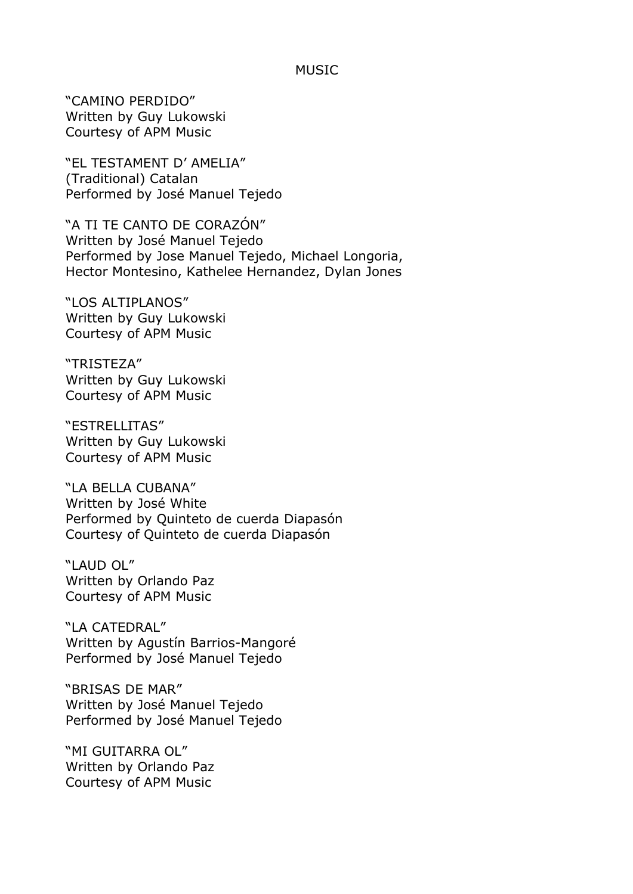#### MUSIC

"CAMINO PERDIDO" Written by Guy Lukowski Courtesy of APM Music

"EL TESTAMENT D' AMELIA" (Traditional) Catalan Performed by José Manuel Tejedo

"A TI TE CANTO DE CORAZÓN" Written by José Manuel Tejedo Performed by Jose Manuel Tejedo, Michael Longoria, Hector Montesino, Kathelee Hernandez, Dylan Jones

"LOS ALTIPLANOS" Written by Guy Lukowski Courtesy of APM Music

"TRISTEZA" Written by Guy Lukowski Courtesy of APM Music

"ESTRELLITAS" Written by Guy Lukowski Courtesy of APM Music

"LA BELLA CUBANA" Written by José White Performed by Quinteto de cuerda Diapasón Courtesy of Quinteto de cuerda Diapasón

"LAUD OL" Written by Orlando Paz Courtesy of APM Music

"LA CATEDRAL" Written by Agustín Barrios-Mangoré Performed by José Manuel Tejedo

"BRISAS DE MAR" Written by José Manuel Tejedo Performed by José Manuel Tejedo

"MI GUITARRA OL" Written by Orlando Paz Courtesy of APM Music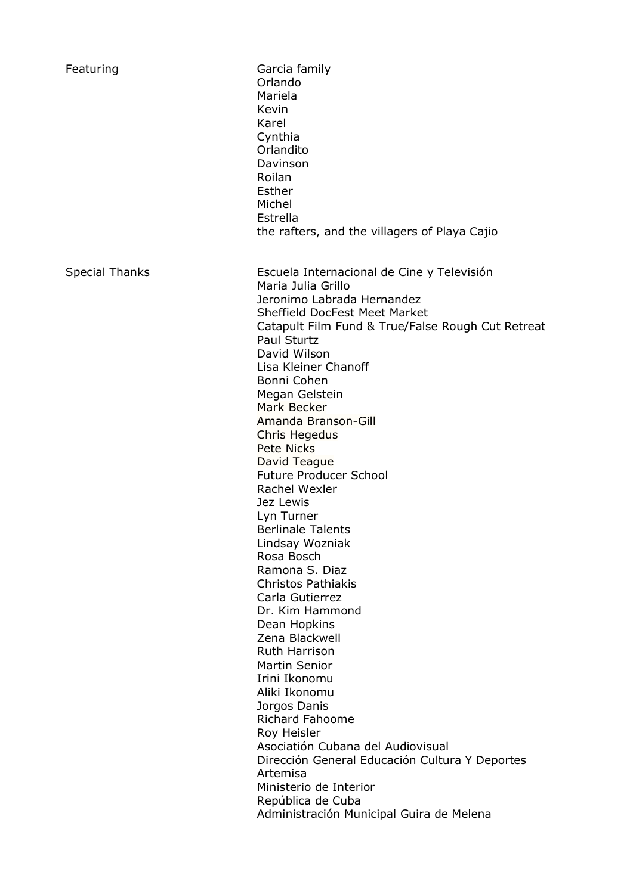| Featuring             | Garcia family<br>Orlando<br>Mariela<br>Kevin<br>Karel<br>Cynthia<br>Orlandito<br>Davinson<br>Roilan<br>Esther<br>Michel<br>Estrella<br>the rafters, and the villagers of Playa Cajio                                                                                                                                                                                                                                                                                                                                                                                                                                                                                                                                                                                                                                                                                                                                                                                               |
|-----------------------|------------------------------------------------------------------------------------------------------------------------------------------------------------------------------------------------------------------------------------------------------------------------------------------------------------------------------------------------------------------------------------------------------------------------------------------------------------------------------------------------------------------------------------------------------------------------------------------------------------------------------------------------------------------------------------------------------------------------------------------------------------------------------------------------------------------------------------------------------------------------------------------------------------------------------------------------------------------------------------|
| <b>Special Thanks</b> | Escuela Internacional de Cine y Televisión<br>Maria Julia Grillo<br>Jeronimo Labrada Hernandez<br><b>Sheffield DocFest Meet Market</b><br>Catapult Film Fund & True/False Rough Cut Retreat<br>Paul Sturtz<br>David Wilson<br>Lisa Kleiner Chanoff<br>Bonni Cohen<br>Megan Gelstein<br>Mark Becker<br>Amanda Branson-Gill<br>Chris Hegedus<br><b>Pete Nicks</b><br>David Teague<br><b>Future Producer School</b><br>Rachel Wexler<br>Jez Lewis<br>Lyn Turner<br><b>Berlinale Talents</b><br>Lindsay Wozniak<br>Rosa Bosch<br>Ramona S. Diaz<br><b>Christos Pathiakis</b><br>Carla Gutierrez<br>Dr. Kim Hammond<br>Dean Hopkins<br>Zena Blackwell<br>Ruth Harrison<br><b>Martin Senior</b><br>Irini Ikonomu<br>Aliki Ikonomu<br>Jorgos Danis<br><b>Richard Fahoome</b><br>Roy Heisler<br>Asociatión Cubana del Audiovisual<br>Dirección General Educación Cultura Y Deportes<br>Artemisa<br>Ministerio de Interior<br>República de Cuba<br>Administración Municipal Guira de Melena |